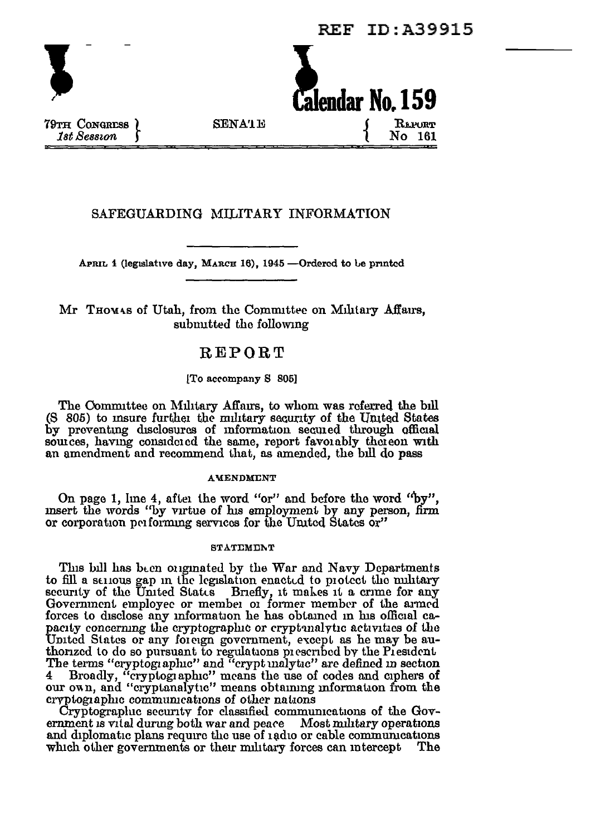**REF ID: A39915** 



79TH CONGRESS **1st Session** 

**SENATE** 

# SAFEGUARDING MILITARY INFORMATION

APRIL 1 (legislative day, MARCH 16), 1945 - Ordered to be printed

## Mr Thowas of Utah, from the Committee on Military Affairs, submitted the following

## REPORT

### ITo accompany S 8051

The Committee on Military Affairs, to whom was referred the bill (S 805) to msure further the military security of the United States by preventing disclosures of information secured through official sources, having considered the same, report favorably thereon with an amendment and recommend that, as amended, the bill do pass

### **AMENDMENT**

On page 1, line 4, after the word "or" and before the word "by", msert the words "by virtue of his employment by any person, firm or corporation performing services for the United States or"

#### **STATEMENT**

This bill has been originated by the War and Navy Departments to fill a senous gap in the legislation enacted to protect the mulitary security of the United States Briefly, it makes it a crime for any Government employee or member of former member of the armed forces to disclose any information he has obtained in his official capacity concerning the cryptographic or cryptonalytic activities of the United States or any foreign government, except as he may be au-<br>thorized to do so pursuant to regulations prescribed by the President<br>The terms "cryptographic" and "crypt inalytic" are defined in section 4 Broadly, "cryptographic" means the use of codes and ciphers of our own, and "cryptanalytic" means obtaining information from the cryptographic communications of other nations

Cryptographic security for classified communications of the Government is vital during both war and peace Most military operations and diplomatic plans require the use of 1adio or cable communications which other governments or their military forces can intercept The